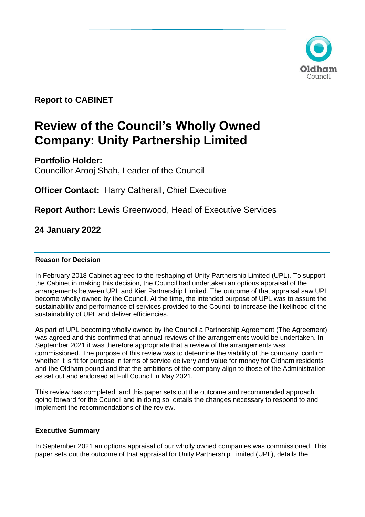

**Report to CABINET** 

# **Review of the Council's Wholly Owned Company: Unity Partnership Limited**

**Portfolio Holder:** 

Councillor Arooj Shah, Leader of the Council

**Officer Contact:** Harry Catherall, Chief Executive

**Report Author:** Lewis Greenwood, Head of Executive Services

**24 January 2022**

# **Reason for Decision**

In February 2018 Cabinet agreed to the reshaping of Unity Partnership Limited (UPL). To support the Cabinet in making this decision, the Council had undertaken an options appraisal of the arrangements between UPL and Kier Partnership Limited. The outcome of that appraisal saw UPL become wholly owned by the Council. At the time, the intended purpose of UPL was to assure the sustainability and performance of services provided to the Council to increase the likelihood of the sustainability of UPL and deliver efficiencies.

As part of UPL becoming wholly owned by the Council a Partnership Agreement (The Agreement) was agreed and this confirmed that annual reviews of the arrangements would be undertaken. In September 2021 it was therefore appropriate that a review of the arrangements was commissioned. The purpose of this review was to determine the viability of the company, confirm whether it is fit for purpose in terms of service delivery and value for money for Oldham residents and the Oldham pound and that the ambitions of the company align to those of the Administration as set out and endorsed at Full Council in May 2021.

This review has completed, and this paper sets out the outcome and recommended approach going forward for the Council and in doing so, details the changes necessary to respond to and implement the recommendations of the review.

## **Executive Summary**

In September 2021 an options appraisal of our wholly owned companies was commissioned. This paper sets out the outcome of that appraisal for Unity Partnership Limited (UPL), details the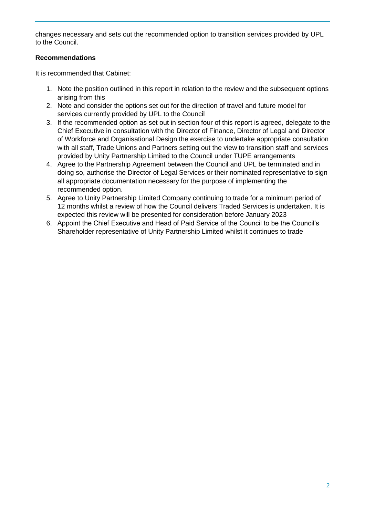changes necessary and sets out the recommended option to transition services provided by UPL to the Council.

# **Recommendations**

It is recommended that Cabinet:

- 1. Note the position outlined in this report in relation to the review and the subsequent options arising from this
- 2. Note and consider the options set out for the direction of travel and future model for services currently provided by UPL to the Council
- 3. If the recommended option as set out in section four of this report is agreed, delegate to the Chief Executive in consultation with the Director of Finance, Director of Legal and Director of Workforce and Organisational Design the exercise to undertake appropriate consultation with all staff, Trade Unions and Partners setting out the view to transition staff and services provided by Unity Partnership Limited to the Council under TUPE arrangements
- 4. Agree to the Partnership Agreement between the Council and UPL be terminated and in doing so, authorise the Director of Legal Services or their nominated representative to sign all appropriate documentation necessary for the purpose of implementing the recommended option.
- 5. Agree to Unity Partnership Limited Company continuing to trade for a minimum period of 12 months whilst a review of how the Council delivers Traded Services is undertaken. It is expected this review will be presented for consideration before January 2023
- 6. Appoint the Chief Executive and Head of Paid Service of the Council to be the Council's Shareholder representative of Unity Partnership Limited whilst it continues to trade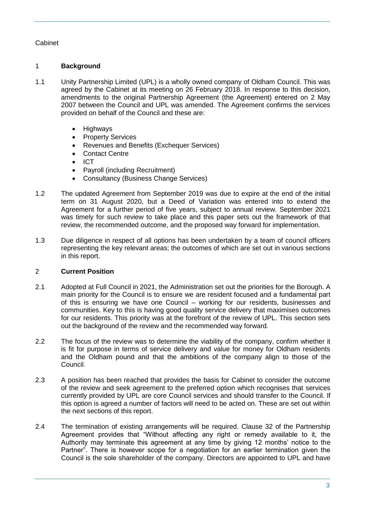# Cabinet

# 1 **Background**

- 1.1 Unity Partnership Limited (UPL) is a wholly owned company of Oldham Council. This was agreed by the Cabinet at its meeting on 26 February 2018. In response to this decision, amendments to the original Partnership Agreement (the Agreement) entered on 2 May 2007 between the Council and UPL was amended. The Agreement confirms the services provided on behalf of the Council and these are:
	- Highways
	- Property Services
	- Revenues and Benefits (Exchequer Services)
	- Contact Centre
	- ICT
	- Payroll (including Recruitment)
	- Consultancy (Business Change Services)
- 1.2 The updated Agreement from September 2019 was due to expire at the end of the initial term on 31 August 2020, but a Deed of Variation was entered into to extend the Agreement for a further period of five years, subject to annual review. September 2021 was timely for such review to take place and this paper sets out the framework of that review, the recommended outcome, and the proposed way forward for implementation.
- 1.3 Due diligence in respect of all options has been undertaken by a team of council officers representing the key relevant areas; the outcomes of which are set out in various sections in this report.

## 2 **Current Position**

- 2.1 Adopted at Full Council in 2021, the Administration set out the priorities for the Borough. A main priority for the Council is to ensure we are resident focused and a fundamental part of this is ensuring we have one Council – working for our residents, businesses and communities. Key to this is having good quality service delivery that maximises outcomes for our residents. This priority was at the forefront of the review of UPL. This section sets out the background of the review and the recommended way forward.
- 2.2 The focus of the review was to determine the viability of the company, confirm whether it is fit for purpose in terms of service delivery and value for money for Oldham residents and the Oldham pound and that the ambitions of the company align to those of the Council.
- 2.3 A position has been reached that provides the basis for Cabinet to consider the outcome of the review and seek agreement to the preferred option which recognises that services currently provided by UPL are core Council services and should transfer to the Council. If this option is agreed a number of factors will need to be acted on. These are set out within the next sections of this report.
- 2.4 The termination of existing arrangements will be required. Clause 32 of the Partnership Agreement provides that "Without affecting any right or remedy available to it, the Authority may terminate this agreement at any time by giving 12 months' notice to the Partner". There is however scope for a negotiation for an earlier termination given the Council is the sole shareholder of the company. Directors are appointed to UPL and have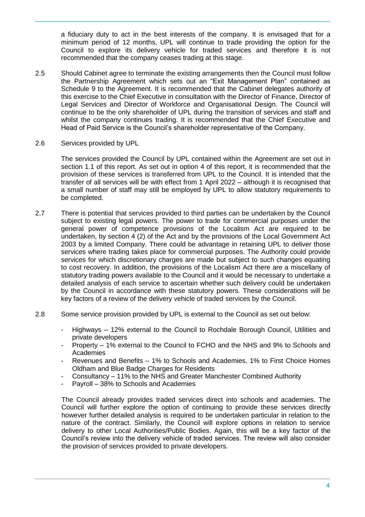a fiduciary duty to act in the best interests of the company. It is envisaged that for a minimum period of 12 months, UPL will continue to trade providing the option for the Council to explore its delivery vehicle for traded services and therefore it is not recommended that the company ceases trading at this stage.

- 2.5 Should Cabinet agree to terminate the existing arrangements then the Council must follow the Partnership Agreement which sets out an "Exit Management Plan" contained as Schedule 9 to the Agreement. It is recommended that the Cabinet delegates authority of this exercise to the Chief Executive in consultation with the Director of Finance, Director of Legal Services and Director of Workforce and Organisational Design. The Council will continue to be the only shareholder of UPL during the transition of services and staff and whilst the company continues trading. It is recommended that the Chief Executive and Head of Paid Service is the Council's shareholder representative of the Company.
- 2.6 Services provided by UPL

The services provided the Council by UPL contained within the Agreement are set out in section 1.1 of this report. As set out in option 4 of this report, it is recommended that the provision of these services is transferred from UPL to the Council. It is intended that the transfer of all services will be with effect from 1 April 2022 – although it is recognised that a small number of staff may still be employed by UPL to allow statutory requirements to be completed.

- 2.7 There is potential that services provided to third parties can be undertaken by the Council subject to existing legal powers. The power to trade for commercial purposes under the general power of competence provisions of the Localism Act are required to be undertaken, by section 4 (2) of the Act and by the provisions of the Local Government Act 2003 by a limited Company. There could be advantage in retaining UPL to deliver those services where trading takes place for commercial purposes. The Authority could provide services for which discretionary charges are made but subject to such changes equating to cost recovery. In addition, the provisions of the Localism Act there are a miscellany of statutory trading powers available to the Council and it would be necessary to undertake a detailed analysis of each service to ascertain whether such delivery could be undertaken by the Council in accordance with these statutory powers. These considerations will be key factors of a review of the delivery vehicle of traded services by the Council.
- 2.8 Some service provision provided by UPL is external to the Council as set out below:
	- Highways 12% external to the Council to Rochdale Borough Council, Utilities and private developers
	- Property 1% external to the Council to FCHO and the NHS and 9% to Schools and Academies
	- Revenues and Benefits 1% to Schools and Academies, 1% to First Choice Homes Oldham and Blue Badge Charges for Residents
	- Consultancy 11% to the NHS and Greater Manchester Combined Authority
	- Payroll 38% to Schools and Academies

The Council already provides traded services direct into schools and academies. The Council will further explore the option of continuing to provide these services directly however further detailed analysis is required to be undertaken particular in relation to the nature of the contract. Similarly, the Council will explore options in relation to service delivery to other Local Authorities/Public Bodies. Again, this will be a key factor of the Council's review into the delivery vehicle of traded services. The review will also consider the provision of services provided to private developers.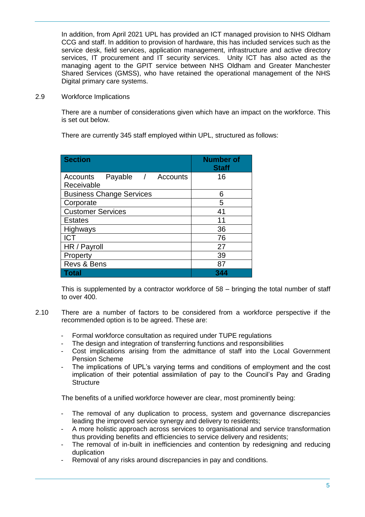In addition, from April 2021 UPL has provided an ICT managed provision to NHS Oldham CCG and staff. In addition to provision of hardware, this has included services such as the service desk, field services, application management, infrastructure and active directory services, IT procurement and IT security services. Unity ICT has also acted as the managing agent to the GPIT service between NHS Oldham and Greater Manchester Shared Services (GMSS), who have retained the operational management of the NHS Digital primary care systems.

2.9 Workforce Implications

There are a number of considerations given which have an impact on the workforce. This is set out below.

There are currently 345 staff employed within UPL, structured as follows:

| <b>Section</b>                    | <b>Number</b> of<br><b>Staff</b> |
|-----------------------------------|----------------------------------|
| Payable /<br>Accounts<br>Accounts | 16                               |
| Receivable                        |                                  |
| <b>Business Change Services</b>   | 6                                |
| Corporate                         | 5                                |
| <b>Customer Services</b>          | 41                               |
| <b>Estates</b>                    | 11                               |
| Highways                          | 36                               |
| <b>ICT</b>                        | 76                               |
| HR / Payroll                      | 27                               |
| Property                          | 39                               |
| Revs & Bens                       | 87                               |
| Total                             |                                  |

This is supplemented by a contractor workforce of 58 – bringing the total number of staff to over 400.

- 2.10 There are a number of factors to be considered from a workforce perspective if the recommended option is to be agreed. These are:
	- Formal workforce consultation as required under TUPE regulations
	- The design and integration of transferring functions and responsibilities
	- Cost implications arising from the admittance of staff into the Local Government Pension Scheme
	- The implications of UPL's varying terms and conditions of employment and the cost implication of their potential assimilation of pay to the Council's Pay and Grading **Structure**

The benefits of a unified workforce however are clear, most prominently being:

- The removal of any duplication to process, system and governance discrepancies leading the improved service synergy and delivery to residents;
- A more holistic approach across services to organisational and service transformation thus providing benefits and efficiencies to service delivery and residents;
- The removal of in-built in inefficiencies and contention by redesigning and reducing duplication
- Removal of any risks around discrepancies in pay and conditions.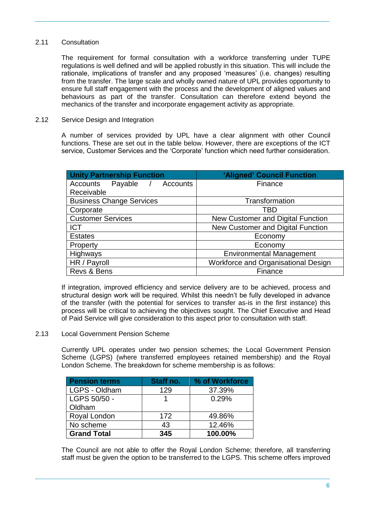## 2.11 Consultation

The requirement for formal consultation with a workforce transferring under TUPE regulations is well defined and will be applied robustly in this situation. This will include the rationale, implications of transfer and any proposed 'measures' (i.e. changes) resulting from the transfer. The large scale and wholly owned nature of UPL provides opportunity to ensure full staff engagement with the process and the development of aligned values and behaviours as part of the transfer. Consultation can therefore extend beyond the mechanics of the transfer and incorporate engagement activity as appropriate.

## 2.12 Service Design and Integration

A number of services provided by UPL have a clear alignment with other Council functions. These are set out in the table below. However, there are exceptions of the ICT service, Customer Services and the 'Corporate' function which need further consideration.

| <b>Unity Partnership Function</b> | 'Aligned' Council Function          |  |
|-----------------------------------|-------------------------------------|--|
| Accounts Payable / Accounts       | Finance                             |  |
| Receivable                        |                                     |  |
| <b>Business Change Services</b>   | Transformation                      |  |
| Corporate                         | TBD                                 |  |
| <b>Customer Services</b>          | New Customer and Digital Function   |  |
| <b>ICT</b>                        | New Customer and Digital Function   |  |
| <b>Estates</b>                    | Economy                             |  |
| Property                          | Economy                             |  |
| Highways                          | <b>Environmental Management</b>     |  |
| HR / Payroll                      | Workforce and Organisational Design |  |
| Revs & Bens                       | Finance                             |  |

If integration, improved efficiency and service delivery are to be achieved, process and structural design work will be required. Whilst this needn't be fully developed in advance of the transfer (with the potential for services to transfer as-is in the first instance) this process will be critical to achieving the objectives sought. The Chief Executive and Head of Paid Service will give consideration to this aspect prior to consultation with staff.

#### 2.13 Local Government Pension Scheme

Currently UPL operates under two pension schemes; the Local Government Pension Scheme (LGPS) (where transferred employees retained membership) and the Royal London Scheme. The breakdown for scheme membership is as follows:

| <b>Pension terms</b> | Staff no. | % of Workforce |
|----------------------|-----------|----------------|
| LGPS - Oldham        | 129       | 37.39%         |
| LGPS 50/50 -         |           | 0.29%          |
| Oldham               |           |                |
| Royal London         | 172       | 49.86%         |
| No scheme            | 43        | 12.46%         |
| <b>Grand Total</b>   | 345       | 100.00%        |

The Council are not able to offer the Royal London Scheme; therefore, all transferring staff must be given the option to be transferred to the LGPS. This scheme offers improved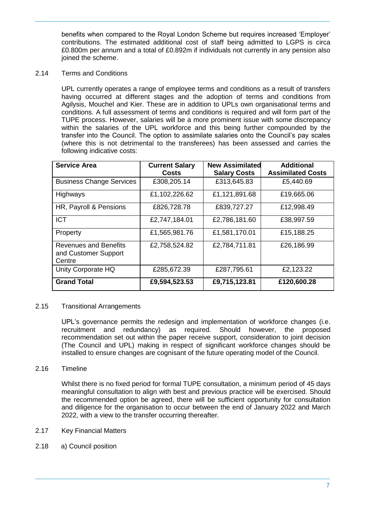benefits when compared to the Royal London Scheme but requires increased 'Employer' contributions. The estimated additional cost of staff being admitted to LGPS is circa £0.800m per annum and a total of £0.892m if individuals not currently in any pension also joined the scheme.

2.14 Terms and Conditions

UPL currently operates a range of employee terms and conditions as a result of transfers having occurred at different stages and the adoption of terms and conditions from Agilysis, Mouchel and Kier. These are in addition to UPLs own organisational terms and conditions. A full assessment of terms and conditions is required and will form part of the TUPE process. However, salaries will be a more prominent issue with some discrepancy within the salaries of the UPL workforce and this being further compounded by the transfer into the Council. The option to assimilate salaries onto the Council's pay scales (where this is not detrimental to the transferees) has been assessed and carries the following indicative costs:

| <b>Service Area</b>                                            | <b>Current Salary</b><br><b>Costs</b> | <b>New Assimilated</b><br><b>Salary Costs</b> | <b>Additional</b><br><b>Assimilated Costs</b> |
|----------------------------------------------------------------|---------------------------------------|-----------------------------------------------|-----------------------------------------------|
| <b>Business Change Services</b>                                | £308,205.14                           | £313,645.83                                   | £5,440.69                                     |
| Highways                                                       | £1,102,226.62                         | £1,121,891.68                                 | £19,665.06                                    |
| HR, Payroll & Pensions                                         | £826,728.78                           | £839,727.27                                   | £12,998.49                                    |
| <b>ICT</b>                                                     | £2,747,184.01                         | £2,786,181.60                                 | £38,997.59                                    |
| Property                                                       | £1,565,981.76                         | £1,581,170.01                                 | £15,188.25                                    |
| <b>Revenues and Benefits</b><br>and Customer Support<br>Centre | £2,758,524.82                         | £2,784,711.81                                 | £26,186.99                                    |
| Unity Corporate HQ                                             | £285,672.39                           | £287,795.61                                   | £2,123.22                                     |
| <b>Grand Total</b>                                             | £9,594,523.53                         | £9,715,123.81                                 | £120,600.28                                   |

## 2.15 Transitional Arrangements

UPL's governance permits the redesign and implementation of workforce changes (i.e. recruitment and redundancy) as required. Should however, the proposed recommendation set out within the paper receive support, consideration to joint decision (The Council and UPL) making in respect of significant workforce changes should be installed to ensure changes are cognisant of the future operating model of the Council.

## 2.16 Timeline

Whilst there is no fixed period for formal TUPE consultation, a minimum period of 45 days meaningful consultation to align with best and previous practice will be exercised. Should the recommended option be agreed, there will be sufficient opportunity for consultation and diligence for the organisation to occur between the end of January 2022 and March 2022, with a view to the transfer occurring thereafter.

- 2.17 Key Financial Matters
- 2.18 a) Council position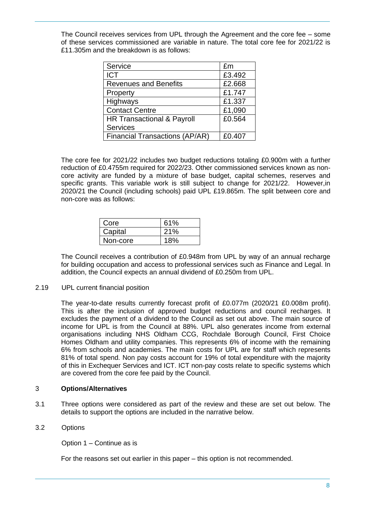The Council receives services from UPL through the Agreement and the core fee – some of these services commissioned are variable in nature. The total core fee for 2021/22 is £11.305m and the breakdown is as follows:

| Service                               | £m     |
|---------------------------------------|--------|
| <b>ICT</b>                            | £3.492 |
| <b>Revenues and Benefits</b>          | £2.668 |
| Property                              | £1.747 |
| Highways                              | £1.337 |
| <b>Contact Centre</b>                 | £1,090 |
| HR Transactional & Payroll            | £0.564 |
| <b>Services</b>                       |        |
| <b>Financial Transactions (AP/AR)</b> | £0.407 |

The core fee for 2021/22 includes two budget reductions totaling £0.900m with a further reduction of £0.4755m required for 2022/23. Other commissioned services known as noncore activity are funded by a mixture of base budget, capital schemes, reserves and specific grants. This variable work is still subject to change for 2021/22. However,in 2020/21 the Council (including schools) paid UPL £19.865m. The split between core and non-core was as follows:

| Core     | 61% |
|----------|-----|
| Capital  | 21% |
| Non-core | 18% |

The Council receives a contribution of £0.948m from UPL by way of an annual recharge for building occupation and access to professional services such as Finance and Legal. In addition, the Council expects an annual dividend of £0.250m from UPL.

#### 2.19 UPL current financial position

The year-to-date results currently forecast profit of £0.077m (2020/21 £0.008m profit). This is after the inclusion of approved budget reductions and council recharges. It excludes the payment of a dividend to the Council as set out above. The main source of income for UPL is from the Council at 88%. UPL also generates income from external organisations including NHS Oldham CCG, Rochdale Borough Council, First Choice Homes Oldham and utility companies. This represents 6% of income with the remaining 6% from schools and academies. The main costs for UPL are for staff which represents 81% of total spend. Non pay costs account for 19% of total expenditure with the majority of this in Exchequer Services and ICT. ICT non-pay costs relate to specific systems which are covered from the core fee paid by the Council.

## 3 **Options/Alternatives**

3.1 Three options were considered as part of the review and these are set out below. The details to support the options are included in the narrative below.

## 3.2 Options

Option 1 – Continue as is

For the reasons set out earlier in this paper – this option is not recommended.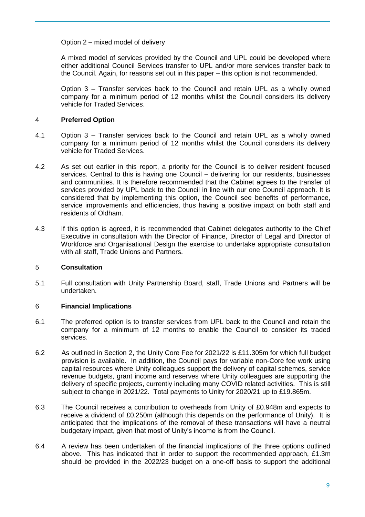Option 2 – mixed model of delivery

A mixed model of services provided by the Council and UPL could be developed where either additional Council Services transfer to UPL and/or more services transfer back to the Council. Again, for reasons set out in this paper – this option is not recommended.

Option 3 – Transfer services back to the Council and retain UPL as a wholly owned company for a minimum period of 12 months whilst the Council considers its delivery vehicle for Traded Services.

#### 4 **Preferred Option**

- 4.1 Option 3 Transfer services back to the Council and retain UPL as a wholly owned company for a minimum period of 12 months whilst the Council considers its delivery vehicle for Traded Services.
- 4.2 As set out earlier in this report, a priority for the Council is to deliver resident focused services. Central to this is having one Council – delivering for our residents, businesses and communities. It is therefore recommended that the Cabinet agrees to the transfer of services provided by UPL back to the Council in line with our one Council approach. It is considered that by implementing this option, the Council see benefits of performance, service improvements and efficiencies, thus having a positive impact on both staff and residents of Oldham.
- 4.3 If this option is agreed, it is recommended that Cabinet delegates authority to the Chief Executive in consultation with the Director of Finance, Director of Legal and Director of Workforce and Organisational Design the exercise to undertake appropriate consultation with all staff, Trade Unions and Partners.

#### 5 **Consultation**

5.1 Full consultation with Unity Partnership Board, staff, Trade Unions and Partners will be undertaken.

#### 6 **Financial Implications**

- 6.1 The preferred option is to transfer services from UPL back to the Council and retain the company for a minimum of 12 months to enable the Council to consider its traded services.
- 6.2 As outlined in Section 2, the Unity Core Fee for 2021/22 is £11.305m for which full budget provision is available. In addition, the Council pays for variable non-Core fee work using capital resources where Unity colleagues support the delivery of capital schemes, service revenue budgets, grant income and reserves where Unity colleagues are supporting the delivery of specific projects, currently including many COVID related activities. This is still subject to change in 2021/22. Total payments to Unity for 2020/21 up to £19.865m.
- 6.3 The Council receives a contribution to overheads from Unity of £0.948m and expects to receive a dividend of £0.250m (although this depends on the performance of Unity). It is anticipated that the implications of the removal of these transactions will have a neutral budgetary impact, given that most of Unity's income is from the Council.
- 6.4 A review has been undertaken of the financial implications of the three options outlined above. This has indicated that in order to support the recommended approach, £1.3m should be provided in the 2022/23 budget on a one-off basis to support the additional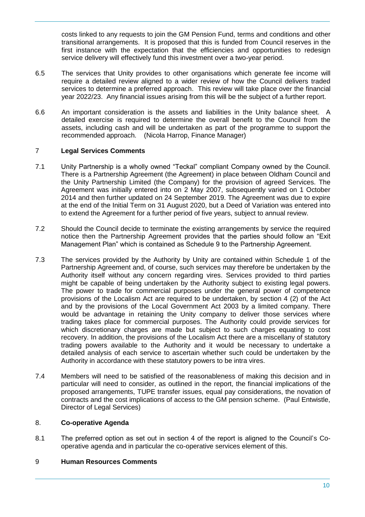costs linked to any requests to join the GM Pension Fund, terms and conditions and other transitional arrangements. It is proposed that this is funded from Council reserves in the first instance with the expectation that the efficiencies and opportunities to redesign service delivery will effectively fund this investment over a two-year period.

- 6.5 The services that Unity provides to other organisations which generate fee income will require a detailed review aligned to a wider review of how the Council delivers traded services to determine a preferred approach. This review will take place over the financial year 2022/23. Any financial issues arising from this will be the subject of a further report.
- 6.6 An important consideration is the assets and liabilities in the Unity balance sheet. A detailed exercise is required to determine the overall benefit to the Council from the assets, including cash and will be undertaken as part of the programme to support the recommended approach. (Nicola Harrop, Finance Manager)

## 7 **Legal Services Comments**

- 7.1 Unity Partnership is a wholly owned "Teckal" compliant Company owned by the Council. There is a Partnership Agreement (the Agreement) in place between Oldham Council and the Unity Partnership Limited (the Company) for the provision of agreed Services. The Agreement was initially entered into on 2 May 2007, subsequently varied on 1 October 2014 and then further updated on 24 September 2019. The Agreement was due to expire at the end of the Initial Term on 31 August 2020, but a Deed of Variation was entered into to extend the Agreement for a further period of five years, subject to annual review.
- 7.2 Should the Council decide to terminate the existing arrangements by service the required notice then the Partnership Agreement provides that the parties should follow an "Exit Management Plan" which is contained as Schedule 9 to the Partnership Agreement.
- 7.3 The services provided by the Authority by Unity are contained within Schedule 1 of the Partnership Agreement and, of course, such services may therefore be undertaken by the Authority itself without any concern regarding vires. Services provided to third parties might be capable of being undertaken by the Authority subject to existing legal powers. The power to trade for commercial purposes under the general power of competence provisions of the Localism Act are required to be undertaken, by section 4 (2) of the Act and by the provisions of the Local Government Act 2003 by a limited company. There would be advantage in retaining the Unity company to deliver those services where trading takes place for commercial purposes. The Authority could provide services for which discretionary charges are made but subject to such charges equating to cost recovery. In addition, the provisions of the Localism Act there are a miscellany of statutory trading powers available to the Authority and it would be necessary to undertake a detailed analysis of each service to ascertain whether such could be undertaken by the Authority in accordance with these statutory powers to be intra vires.
- 7.4 Members will need to be satisfied of the reasonableness of making this decision and in particular will need to consider, as outlined in the report, the financial implications of the proposed arrangements, TUPE transfer issues, equal pay considerations, the novation of contracts and the cost implications of access to the GM pension scheme. (Paul Entwistle, Director of Legal Services)

#### 8. **Co-operative Agenda**

8.1 The preferred option as set out in section 4 of the report is aligned to the Council's Cooperative agenda and in particular the co-operative services element of this.

#### 9 **Human Resources Comments**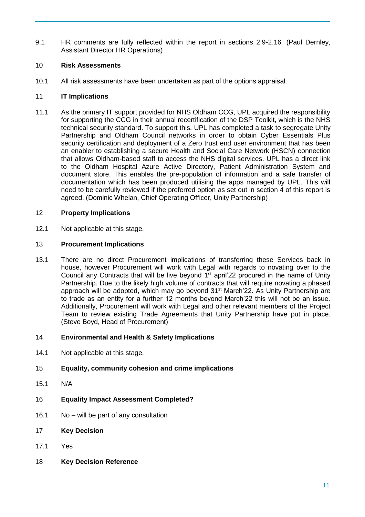9.1 HR comments are fully reflected within the report in sections 2.9-2.16. (Paul Dernley, Assistant Director HR Operations)

## 10 **Risk Assessments**

10.1 All risk assessments have been undertaken as part of the options appraisal.

#### 11 **IT Implications**

11.1 As the primary IT support provided for NHS Oldham CCG, UPL acquired the responsibility for supporting the CCG in their annual recertification of the DSP Toolkit, which is the NHS technical security standard. To support this, UPL has completed a task to segregate Unity Partnership and Oldham Council networks in order to obtain Cyber Essentials Plus security certification and deployment of a Zero trust end user environment that has been an enabler to establishing a secure Health and Social Care Network (HSCN) connection that allows Oldham-based staff to access the NHS digital services. UPL has a direct link to the Oldham Hospital Azure Active Directory, Patient Administration System and document store. This enables the pre-population of information and a safe transfer of documentation which has been produced utilising the apps managed by UPL. This will need to be carefully reviewed if the preferred option as set out in section 4 of this report is agreed. (Dominic Whelan, Chief Operating Officer, Unity Partnership)

#### 12 **Property Implications**

12.1 Not applicable at this stage.

#### 13 **Procurement Implications**

13.1 There are no direct Procurement implications of transferring these Services back in house, however Procurement will work with Legal with regards to novating over to the Council any Contracts that will be live beyond  $1<sup>st</sup>$  april'22 procured in the name of Unity Partnership. Due to the likely high volume of contracts that will require novating a phased approach will be adopted, which may go beyond 31<sup>st</sup> March'22. As Unity Partnership are to trade as an entity for a further 12 months beyond March'22 this will not be an issue. Additionally, Procurement will work with Legal and other relevant members of the Project Team to review existing Trade Agreements that Unity Partnership have put in place. (Steve Boyd, Head of Procurement)

#### 14 **Environmental and Health & Safety Implications**

14.1 Not applicable at this stage.

#### 15 **Equality, community cohesion and crime implications**

- 15.1 N/A
- 16 **Equality Impact Assessment Completed?**
- 16.1 No will be part of any consultation
- 17 **Key Decision**
- 17.1 Yes
- 18 **Key Decision Reference**